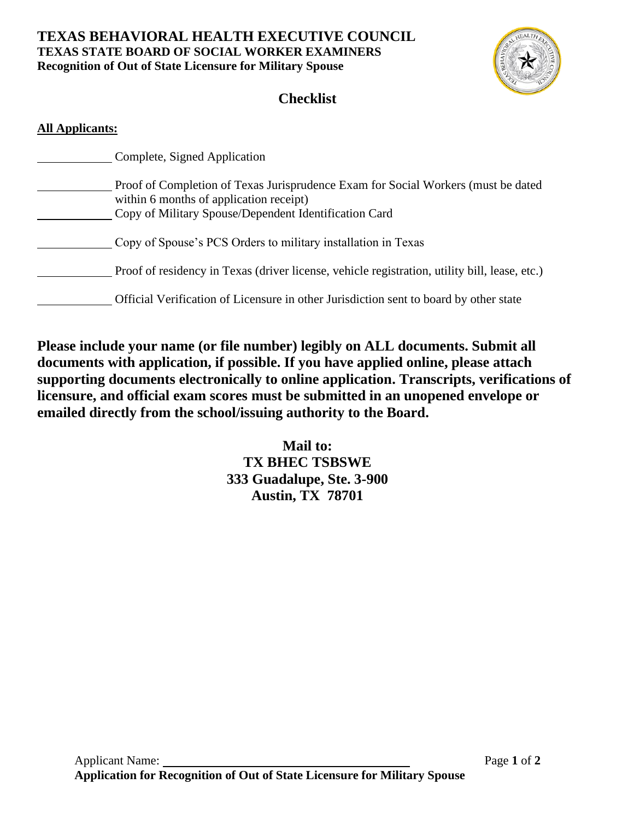# **TEXAS BEHAVIORAL HEALTH EXECUTIVE COUNCIL TEXAS STATE BOARD OF SOCIAL WORKER EXAMINERS Recognition of Out of State Licensure for Military Spouse**



# **Checklist**

### **All Applicants:**

| Complete, Signed Application                                                                                                                                                          |
|---------------------------------------------------------------------------------------------------------------------------------------------------------------------------------------|
| Proof of Completion of Texas Jurisprudence Exam for Social Workers (must be dated<br>within 6 months of application receipt)<br>Copy of Military Spouse/Dependent Identification Card |
| Copy of Spouse's PCS Orders to military installation in Texas                                                                                                                         |
| Proof of residency in Texas (driver license, vehicle registration, utility bill, lease, etc.)                                                                                         |
| Official Verification of Licensure in other Jurisdiction sent to board by other state                                                                                                 |

**Please include your name (or file number) legibly on ALL documents. Submit all documents with application, if possible. If you have applied online, please attach supporting documents electronically to online application. Transcripts, verifications of licensure, and official exam scores must be submitted in an unopened envelope or emailed directly from the school/issuing authority to the Board.** 

> **Mail to: TX BHEC TSBSWE 333 Guadalupe, Ste. 3-900 Austin, TX 78701**